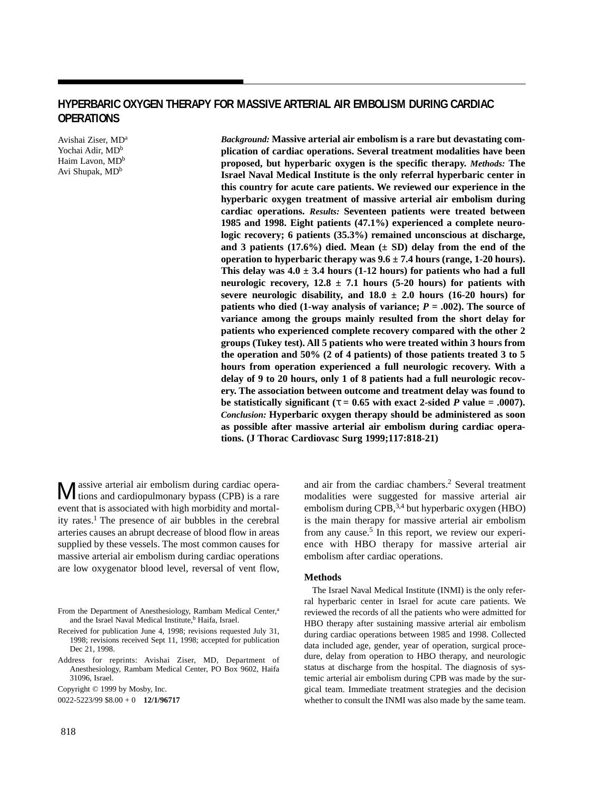# **HYPERBARIC OXYGEN THERAPY FOR MASSIVE ARTERIAL AIR EMBOLISM DURING CARDIAC OPERATIONS**

Avishai Ziser, MDa Yochai Adir, MD<sup>b</sup> Haim Lavon, MD<sup>b</sup> Avi Shupak, MD<sup>b</sup>

*Background:* **Massive arterial air embolism is a rare but devastating complication of cardiac operations. Several treatment modalities have been proposed, but hyperbaric oxygen is the specific therapy.** *Methods:* **The Israel Naval Medical Institute is the only referral hyperbaric center in this country for acute care patients. We reviewed our experience in the hyperbaric oxygen treatment of massive arterial air embolism during cardiac operations.** *Results:* **Seventeen patients were treated between 1985 and 1998. Eight patients (47.1%) experienced a complete neurologic recovery; 6 patients (35.3%) remained unconscious at discharge, and 3 patients (17.6%) died. Mean (± SD) delay from the end of the operation to hyperbaric therapy was 9.6 ± 7.4 hours (range, 1-20 hours). This delay was 4.0 ± 3.4 hours (1-12 hours) for patients who had a full neurologic recovery, 12.8 ± 7.1 hours (5-20 hours) for patients with** severe neurologic disability, and  $18.0 \pm 2.0$  hours (16-20 hours) for **patients who died (1-way analysis of variance;**  $P = .002$ **). The source of variance among the groups mainly resulted from the short delay for patients who experienced complete recovery compared with the other 2 groups (Tukey test). All 5 patients who were treated within 3 hours from the operation and 50% (2 of 4 patients) of those patients treated 3 to 5 hours from operation experienced a full neurologic recovery. With a delay of 9 to 20 hours, only 1 of 8 patients had a full neurologic recovery. The association between outcome and treatment delay was found to be statistically significant** ( $\tau = 0.65$  with exact 2-sided *P* value = .0007). *Conclusion:* **Hyperbaric oxygen therapy should be administered as soon as possible after massive arterial air embolism during cardiac operations. (J Thorac Cardiovasc Surg 1999;117:818-21)**

Massive arterial air embolism during cardiac opera-tions and cardiopulmonary bypass (CPB) is a rare event that is associated with high morbidity and mortality rates.<sup>1</sup> The presence of air bubbles in the cerebral arteries causes an abrupt decrease of blood flow in areas supplied by these vessels. The most common causes for massive arterial air embolism during cardiac operations are low oxygenator blood level, reversal of vent flow,

Address for reprints: Avishai Ziser, MD, Department of Anesthesiology, Rambam Medical Center, PO Box 9602, Haifa 31096, Israel.

and air from the cardiac chambers.2 Several treatment modalities were suggested for massive arterial air embolism during CPB, $^{3,4}$  but hyperbaric oxygen (HBO) is the main therapy for massive arterial air embolism from any cause.<sup>5</sup> In this report, we review our experience with HBO therapy for massive arterial air embolism after cardiac operations.

## **Methods**

The Israel Naval Medical Institute (INMI) is the only referral hyperbaric center in Israel for acute care patients. We reviewed the records of all the patients who were admitted for HBO therapy after sustaining massive arterial air embolism during cardiac operations between 1985 and 1998. Collected data included age, gender, year of operation, surgical procedure, delay from operation to HBO therapy, and neurologic status at discharge from the hospital. The diagnosis of systemic arterial air embolism during CPB was made by the surgical team. Immediate treatment strategies and the decision whether to consult the INMI was also made by the same team.

From the Department of Anesthesiology, Rambam Medical Center,<sup>a</sup> and the Israel Naval Medical Institute,<sup>b</sup> Haifa, Israel.

Received for publication June 4, 1998; revisions requested July 31, 1998; revisions received Sept 11, 1998; accepted for publication Dec 21, 1998.

Copyright © 1999 by Mosby, Inc.

<sup>0022-5223/99 \$8.00 + 0</sup> **12/1/96717**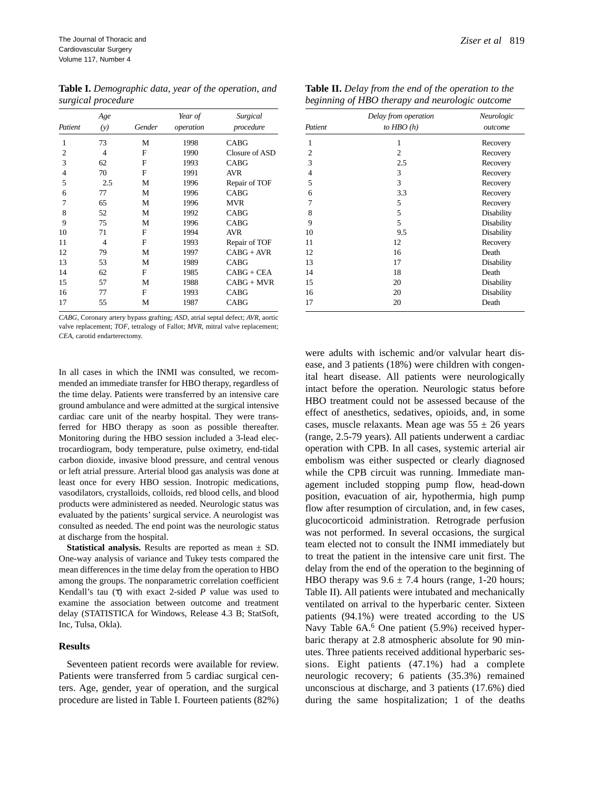**Table I.** *Demographic data, year of the operation, and surgical procedure* 

|                | Age<br>Gender<br>(y) |           | Year of   | Surgical       |
|----------------|----------------------|-----------|-----------|----------------|
| Patient        |                      | operation | procedure |                |
| 1              | 73                   | М         | 1998      | <b>CABG</b>    |
| $\overline{c}$ | 4                    | F         | 1990      | Closure of ASD |
| 3              | 62                   | F         | 1993      | <b>CABG</b>    |
| $\overline{4}$ | 70                   | F         | 1991      | <b>AVR</b>     |
| 5              | 2.5                  | М         | 1996      | Repair of TOF  |
| 6              | 77                   | М         | 1996      | CABG           |
| 7              | 65                   | M         | 1996      | <b>MVR</b>     |
| 8              | 52                   | М         | 1992      | CABG           |
| 9              | 75                   | M         | 1996      | CABG           |
| 10             | 71                   | F         | 1994      | <b>AVR</b>     |
| 11             | 4                    | F         | 1993      | Repair of TOF  |
| 12             | 79                   | M         | 1997      | $CABG + AVR$   |
| 13             | 53                   | М         | 1989      | <b>CABG</b>    |
| 14             | 62                   | F         | 1985      | CABG + CEA     |
| 15             | 57                   | М         | 1988      | CABG + MVR     |
| 16             | 77                   | F         | 1993      | <b>CABG</b>    |
| 17             | 55                   | М         | 1987      | CABG           |

*CABG*, Coronary artery bypass grafting; *ASD*, atrial septal defect; *AVR*, aortic valve replacement; *TOF*, tetralogy of Fallot; *MVR*, mitral valve replacement; *CEA*, carotid endarterectomy.

In all cases in which the INMI was consulted, we recommended an immediate transfer for HBO therapy, regardless of the time delay. Patients were transferred by an intensive care ground ambulance and were admitted at the surgical intensive cardiac care unit of the nearby hospital. They were transferred for HBO therapy as soon as possible thereafter. Monitoring during the HBO session included a 3-lead electrocardiogram, body temperature, pulse oximetry, end-tidal carbon dioxide, invasive blood pressure, and central venous or left atrial pressure. Arterial blood gas analysis was done at least once for every HBO session. Inotropic medications, vasodilators, crystalloids, colloids, red blood cells, and blood products were administered as needed. Neurologic status was evaluated by the patients' surgical service. A neurologist was consulted as needed. The end point was the neurologic status at discharge from the hospital.

**Statistical analysis.** Results are reported as mean ± SD. One-way analysis of variance and Tukey tests compared the mean differences in the time delay from the operation to HBO among the groups. The nonparametric correlation coefficient Kendall's tau (τ) with exact 2-sided *P* value was used to examine the association between outcome and treatment delay (STATISTICA for Windows, Release 4.3 B; StatSoft, Inc, Tulsa, Okla).

#### **Results**

Seventeen patient records were available for review. Patients were transferred from 5 cardiac surgical centers. Age, gender, year of operation, and the surgical procedure are listed in Table I. Fourteen patients (82%)

|                | Delay from operation | Neurologic |
|----------------|----------------------|------------|
| Patient        | to $HBO(h)$          | outcome    |
| 1              | 1                    | Recovery   |
| 2              | 2                    | Recovery   |
| 3              | 2.5                  | Recovery   |
| $\overline{4}$ | 3                    | Recovery   |
| 5              | 3                    | Recovery   |
| 6              | 3.3                  | Recovery   |
| 7              | 5                    | Recovery   |
| 8              | 5                    | Disability |
| 9              | 5                    | Disability |
| 10             | 9.5                  | Disability |
| 11             | 12                   | Recovery   |
| 12             | 16                   | Death      |
| 13             | 17                   | Disability |
| 14             | 18                   | Death      |
| 15             | 20                   | Disability |
| 16             | 20                   | Disability |
| 17             | 20                   | Death      |

were adults with ischemic and/or valvular heart disease, and 3 patients (18%) were children with congenital heart disease. All patients were neurologically intact before the operation. Neurologic status before HBO treatment could not be assessed because of the effect of anesthetics, sedatives, opioids, and, in some cases, muscle relaxants. Mean age was  $55 \pm 26$  years (range, 2.5-79 years). All patients underwent a cardiac operation with CPB. In all cases, systemic arterial air embolism was either suspected or clearly diagnosed while the CPB circuit was running. Immediate management included stopping pump flow, head-down position, evacuation of air, hypothermia, high pump flow after resumption of circulation, and, in few cases, glucocorticoid administration. Retrograde perfusion was not performed. In several occasions, the surgical team elected not to consult the INMI immediately but to treat the patient in the intensive care unit first. The delay from the end of the operation to the beginning of HBO therapy was  $9.6 \pm 7.4$  hours (range, 1-20 hours; Table II). All patients were intubated and mechanically ventilated on arrival to the hyperbaric center. Sixteen patients (94.1%) were treated according to the US Navy Table  $6A<sup>6</sup>$  One patient (5.9%) received hyperbaric therapy at 2.8 atmospheric absolute for 90 minutes. Three patients received additional hyperbaric sessions. Eight patients (47.1%) had a complete neurologic recovery; 6 patients (35.3%) remained unconscious at discharge, and 3 patients (17.6%) died during the same hospitalization; 1 of the deaths

| <b>Table II.</b> Delay from the end of the operation to the |
|-------------------------------------------------------------|
| beginning of HBO therapy and neurologic outcome             |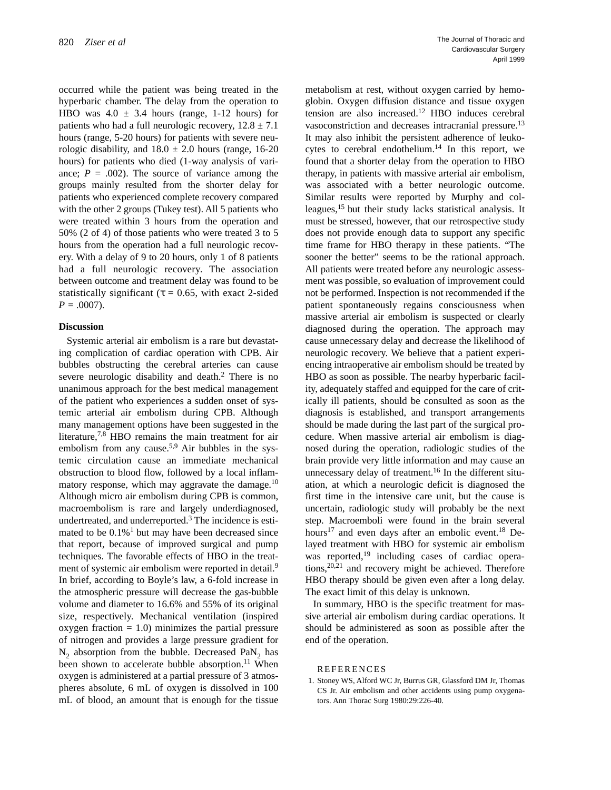occurred while the patient was being treated in the hyperbaric chamber. The delay from the operation to HBO was  $4.0 \pm 3.4$  hours (range, 1-12 hours) for patients who had a full neurologic recovery,  $12.8 \pm 7.1$ hours (range, 5-20 hours) for patients with severe neurologic disability, and  $18.0 \pm 2.0$  hours (range, 16-20) hours) for patients who died (1-way analysis of variance;  $P = .002$ ). The source of variance among the groups mainly resulted from the shorter delay for patients who experienced complete recovery compared with the other 2 groups (Tukey test). All 5 patients who were treated within 3 hours from the operation and 50% (2 of 4) of those patients who were treated 3 to 5 hours from the operation had a full neurologic recovery. With a delay of 9 to 20 hours, only 1 of 8 patients had a full neurologic recovery. The association between outcome and treatment delay was found to be statistically significant ( $\tau = 0.65$ , with exact 2-sided  $P = .0007$ ).

### **Discussion**

Systemic arterial air embolism is a rare but devastating complication of cardiac operation with CPB. Air bubbles obstructing the cerebral arteries can cause severe neurologic disability and death.<sup>2</sup> There is no unanimous approach for the best medical management of the patient who experiences a sudden onset of systemic arterial air embolism during CPB. Although many management options have been suggested in the literature,<sup>7,8</sup> HBO remains the main treatment for air embolism from any cause.<sup>5,9</sup> Air bubbles in the systemic circulation cause an immediate mechanical obstruction to blood flow, followed by a local inflammatory response, which may aggravate the damage.<sup>10</sup> Although micro air embolism during CPB is common, macroembolism is rare and largely underdiagnosed, undertreated, and underreported.<sup>3</sup> The incidence is estimated to be  $0.1\%$ <sup>1</sup> but may have been decreased since that report, because of improved surgical and pump techniques. The favorable effects of HBO in the treatment of systemic air embolism were reported in detail.<sup>9</sup> In brief, according to Boyle's law, a 6-fold increase in the atmospheric pressure will decrease the gas-bubble volume and diameter to 16.6% and 55% of its original size, respectively. Mechanical ventilation (inspired oxygen fraction  $= 1.0$ ) minimizes the partial pressure of nitrogen and provides a large pressure gradient for  $N_2$  absorption from the bubble. Decreased PaN<sub>2</sub> has been shown to accelerate bubble absorption.<sup>11</sup> When oxygen is administered at a partial pressure of 3 atmospheres absolute, 6 mL of oxygen is dissolved in 100 mL of blood, an amount that is enough for the tissue metabolism at rest, without oxygen carried by hemoglobin. Oxygen diffusion distance and tissue oxygen tension are also increased.12 HBO induces cerebral vasoconstriction and decreases intracranial pressure.<sup>13</sup> It may also inhibit the persistent adherence of leukocytes to cerebral endothelium.<sup>14</sup> In this report, we found that a shorter delay from the operation to HBO therapy, in patients with massive arterial air embolism, was associated with a better neurologic outcome. Similar results were reported by Murphy and colleagues,15 but their study lacks statistical analysis. It must be stressed, however, that our retrospective study does not provide enough data to support any specific time frame for HBO therapy in these patients. "The sooner the better" seems to be the rational approach. All patients were treated before any neurologic assessment was possible, so evaluation of improvement could not be performed. Inspection is not recommended if the patient spontaneously regains consciousness when massive arterial air embolism is suspected or clearly diagnosed during the operation. The approach may cause unnecessary delay and decrease the likelihood of neurologic recovery. We believe that a patient experiencing intraoperative air embolism should be treated by HBO as soon as possible. The nearby hyperbaric facility, adequately staffed and equipped for the care of critically ill patients, should be consulted as soon as the diagnosis is established, and transport arrangements should be made during the last part of the surgical procedure. When massive arterial air embolism is diagnosed during the operation, radiologic studies of the brain provide very little information and may cause an unnecessary delay of treatment.<sup>16</sup> In the different situation, at which a neurologic deficit is diagnosed the first time in the intensive care unit, but the cause is uncertain, radiologic study will probably be the next step. Macroemboli were found in the brain several hours<sup>17</sup> and even days after an embolic event.<sup>18</sup> Delayed treatment with HBO for systemic air embolism was reported,<sup>19</sup> including cases of cardiac operations,  $20,21$  and recovery might be achieved. Therefore HBO therapy should be given even after a long delay. The exact limit of this delay is unknown.

In summary, HBO is the specific treatment for massive arterial air embolism during cardiac operations. It should be administered as soon as possible after the end of the operation.

#### REFERENCES

1. Stoney WS, Alford WC Jr, Burrus GR, Glassford DM Jr, Thomas CS Jr. Air embolism and other accidents using pump oxygenators. Ann Thorac Surg 1980:29:226-40.